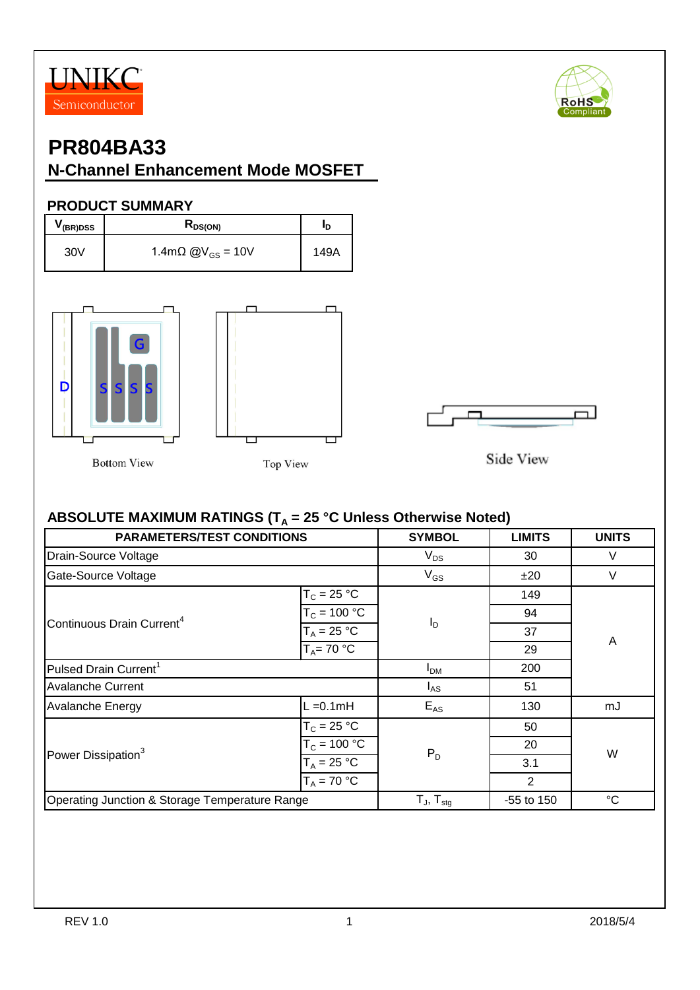



# **PR804BA33**

#### **N-Channel Enhancement Mode MOSFET**

#### **PRODUCT SUMMARY**

| V (BR)DSS | N <sub>DS(ON)</sub>                  | חי   |  |
|-----------|--------------------------------------|------|--|
| 30V       | 1.4m $\Omega$ @V <sub>GS</sub> = 10V | 149A |  |



**Bottom View** 







Side View

#### ABSOLUTE MAXIMUM RATINGS (T<sub>A</sub> = 25 °C Unless Otherwise Noted)

| <b>PARAMETERS/TEST CONDITIONS</b>              | <b>SYMBOL</b>         | <b>LIMITS</b>       | <b>UNITS</b> |             |  |
|------------------------------------------------|-----------------------|---------------------|--------------|-------------|--|
| Drain-Source Voltage                           | $V_{DS}$              | 30                  | V            |             |  |
| Gate-Source Voltage                            |                       | $V_{GS}$            | ±20          | V           |  |
|                                                | $T_c = 25 °C$         |                     | 149          |             |  |
| Continuous Drain Current <sup>4</sup>          | $T_c = 100 \degree C$ |                     | 94           |             |  |
|                                                | $T_A = 25 °C$         | $I_D$               | 37           | A           |  |
|                                                | $T_A = 70 °C$         |                     |              |             |  |
| Pulsed Drain Current <sup>1</sup>              | $I_{DM}$              | 200                 |              |             |  |
| <b>Avalanche Current</b>                       | $I_{AS}$              | 51                  |              |             |  |
| <b>Avalanche Energy</b>                        | $L = 0.1$ mH          | $E_{AS}$            | 130          | mJ          |  |
|                                                | $T_c = 25 °C$         |                     | 50           | W           |  |
| Power Dissipation <sup>3</sup>                 | $T_c = 100 °C$        | $P_D$               | 20           |             |  |
|                                                | $T_A = 25 °C$         |                     | 3.1          |             |  |
|                                                | $T_A = 70 °C$         |                     | 2            |             |  |
| Operating Junction & Storage Temperature Range |                       | $T_{J}$ , $T_{stq}$ | -55 to 150   | $^{\circ}C$ |  |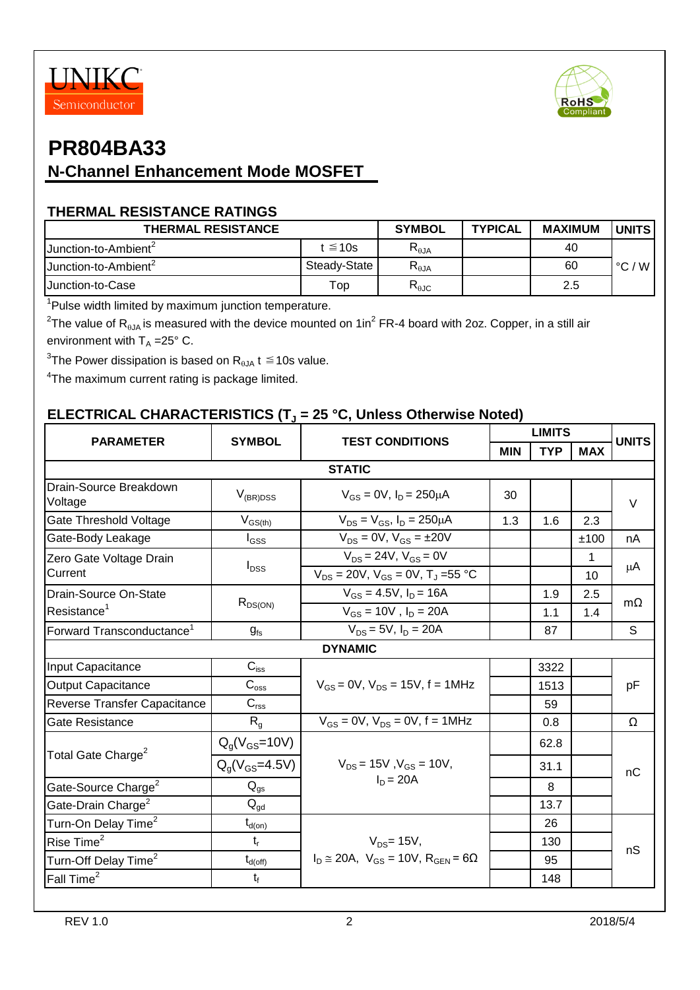



#### **THERMAL RESISTANCE RATINGS**

| <b>THERMAL RESISTANCE</b>        | <b>SYMBOL</b>    | <b>TYPICAL</b> | <b>MAXIMUM</b> | <b>UNITS</b> |                       |
|----------------------------------|------------------|----------------|----------------|--------------|-----------------------|
| Junction-to-Ambient <sup>2</sup> | $t \leq 10s$     | $R_{\theta$ JA |                | 40           |                       |
| Junction-to-Ambient <sup>2</sup> | Steady-State     | $R_{\theta$ JA |                | 60           | $^{\circ}$ C ,<br>W l |
| <b>Junction-to-Case</b>          | $\mathsf{Top}^-$ | $R_{\theta$ JC |                | 2.5          |                       |

<sup>1</sup>Pulse width limited by maximum junction temperature.

 $^2$ The value of R<sub>θJA</sub> is measured with the device mounted on 1in<sup>2</sup> FR-4 board with 2oz. Copper, in a still air environment with  $T_A = 25^\circ$  C.

 $^3$ The Power dissipation is based on R $_{\rm \thetaJA}$  t  $\leq$  10s value.

<sup>4</sup>The maximum current rating is package limited.

#### **ELECTRICAL CHARACTERISTICS (T<sup>J</sup> = 25 °C, Unless Otherwise Noted)**

| <b>PARAMETER</b>                                 | <b>SYMBOL</b>               | <b>TEST CONDITIONS</b>                                                           | <b>LIMITS</b> |            |            | <b>UNITS</b> |  |
|--------------------------------------------------|-----------------------------|----------------------------------------------------------------------------------|---------------|------------|------------|--------------|--|
|                                                  |                             |                                                                                  | <b>MIN</b>    | <b>TYP</b> | <b>MAX</b> |              |  |
| <b>STATIC</b>                                    |                             |                                                                                  |               |            |            |              |  |
| Drain-Source Breakdown<br>Voltage                | $V_{(BR)DSS}$               | $V_{GS} = 0V$ , $I_D = 250 \mu A$                                                | 30            |            |            | $\vee$       |  |
| Gate Threshold Voltage                           | $V_{GS(th)}$                | $V_{DS} = V_{GS}$ , $I_D = 250 \mu A$                                            | 1.3           | 1.6        | 2.3        |              |  |
| Gate-Body Leakage                                | $\mathsf{I}_{\mathsf{GSS}}$ | $V_{DS} = 0V$ , $V_{GS} = \pm 20V$                                               |               |            | ±100       | nA           |  |
| Zero Gate Voltage Drain<br>Current               | $I_{DSS}$                   | $V_{DS} = 24V$ , $V_{GS} = 0V$<br>$V_{DS} = 20V$ , $V_{GS} = 0V$ , $T_J = 55 °C$ |               |            | 1<br>10    | μA           |  |
| Drain-Source On-State<br>Resistance <sup>1</sup> | $R_{DS(ON)}$                | $V_{GS} = 4.5V$ , $I_D = 16A$<br>$V_{GS} = 10V$ , $I_D = 20A$                    |               | 1.9<br>1.1 | 2.5<br>1.4 | $m\Omega$    |  |
| Forward Transconductance <sup>1</sup>            | $g_{fs}$                    | $V_{DS} = 5V$ , $I_D = 20A$                                                      |               | 87         |            | S            |  |
|                                                  |                             | <b>DYNAMIC</b>                                                                   |               |            |            |              |  |
| Input Capacitance                                | $C_{iss}$                   |                                                                                  |               | 3322       |            | pF           |  |
| <b>Output Capacitance</b>                        | $C_{\rm oss}$               | $V_{GS} = 0V$ , $V_{DS} = 15V$ , f = 1MHz                                        |               | 1513       |            |              |  |
| Reverse Transfer Capacitance                     | $C_{\text{rss}}$            |                                                                                  |               | 59         |            |              |  |
| Gate Resistance                                  | $R_{q}$                     | $V_{GS} = 0V$ , $V_{DS} = 0V$ , $f = 1MHz$                                       |               | 0.8        |            | Ω            |  |
| Total Gate Charge <sup>2</sup>                   | $Q_q(V_{GS} = 10V)$         |                                                                                  |               | 62.8       |            | nC           |  |
|                                                  | $Q_q(V_{GS} = 4.5V)$        | $V_{DS}$ = 15V, $V_{GS}$ = 10V,                                                  |               | 31.1       |            |              |  |
| Gate-Source Charge <sup>2</sup>                  | $Q_{gs}$                    | $I_D = 20A$                                                                      |               | 8          |            |              |  |
| Gate-Drain Charge <sup>2</sup>                   | $Q_{\text{gd}}$             |                                                                                  |               | 13.7       |            |              |  |
| Turn-On Delay Time <sup>2</sup>                  | $t_{d(0n)}$                 |                                                                                  |               | 26         |            |              |  |
| Rise Time <sup>2</sup>                           | $t_{r}$                     | $V_{DS}$ = 15V,                                                                  |               | 130        |            | nS           |  |
| Turn-Off Delay Time <sup>2</sup>                 | $t_{d(\text{off})}$         | $I_D \cong 20A$ , $V_{GS} = 10V$ , $R_{GEN} = 6\Omega$                           |               | 95         |            |              |  |
| Fall Time <sup>2</sup>                           | $t_f$                       |                                                                                  |               | 148        |            |              |  |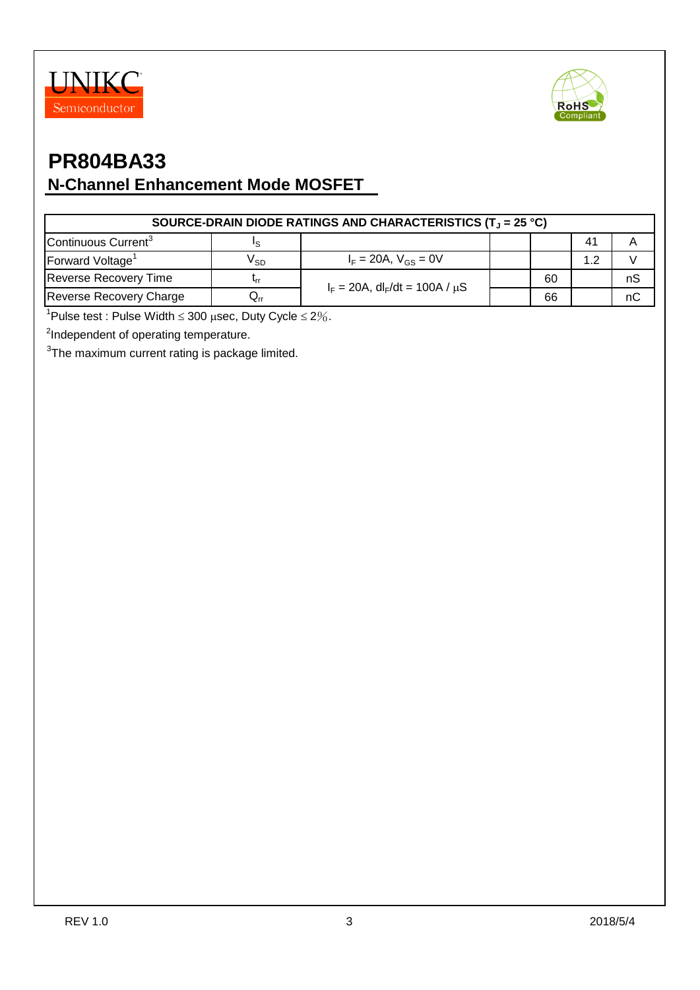



| SOURCE-DRAIN DIODE RATINGS AND CHARACTERISTICS (T <sub>1</sub> = 25 °C) |                                     |                                                    |  |    |                |    |  |  |
|-------------------------------------------------------------------------|-------------------------------------|----------------------------------------------------|--|----|----------------|----|--|--|
| Continuous Current <sup>3</sup>                                         |                                     |                                                    |  |    | 4 <sup>′</sup> |    |  |  |
| Forward Voltage <sup>1</sup>                                            | V <sub>SD</sub>                     | $I_F = 20A$ , $V_{GS} = 0V$                        |  |    | 1.2            |    |  |  |
| <b>Reverse Recovery Time</b>                                            |                                     | $I_F = 20A$ , dl <sub>F</sub> /dt = 100A / $\mu$ S |  | 60 |                | nS |  |  |
| Reverse Recovery Charge                                                 | $\mathsf{u}_{\mathsf{r}\mathsf{r}}$ |                                                    |  | 66 |                | nC |  |  |

 $1$ Pulse test : Pulse Width  $\leq 300$   $\mu$ sec, Duty Cycle  $\leq 2\%$ .

<sup>2</sup>Independent of operating temperature.

 $3$ The maximum current rating is package limited.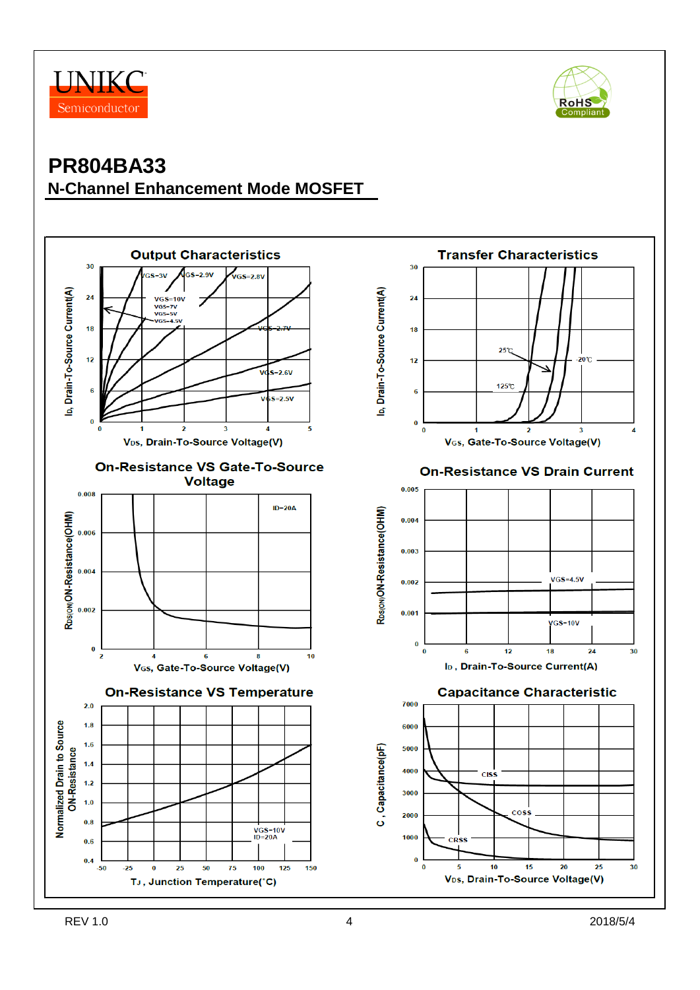



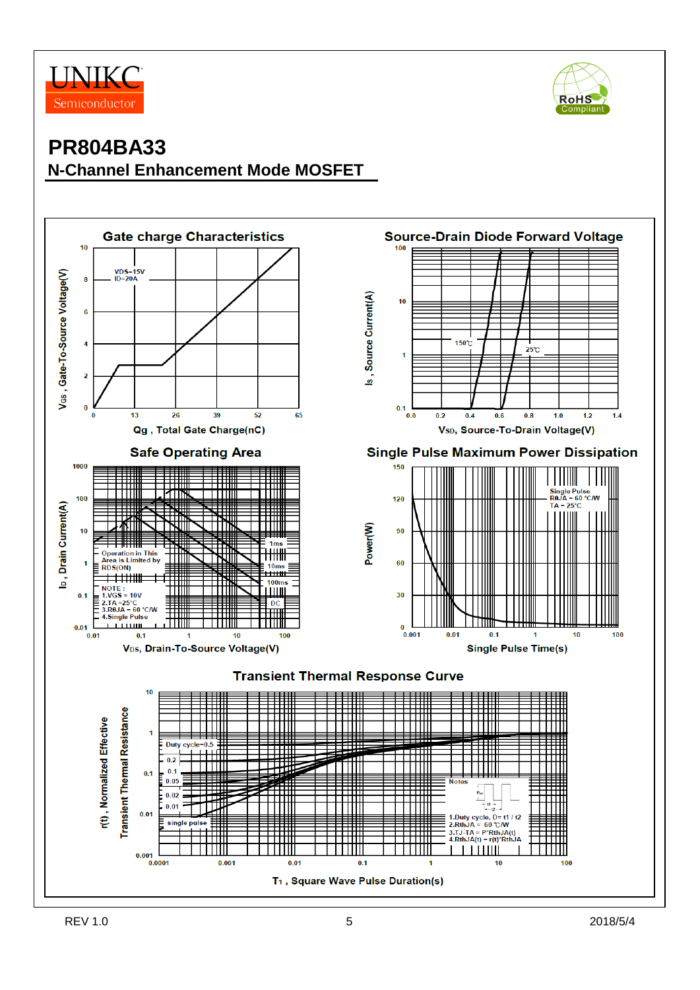



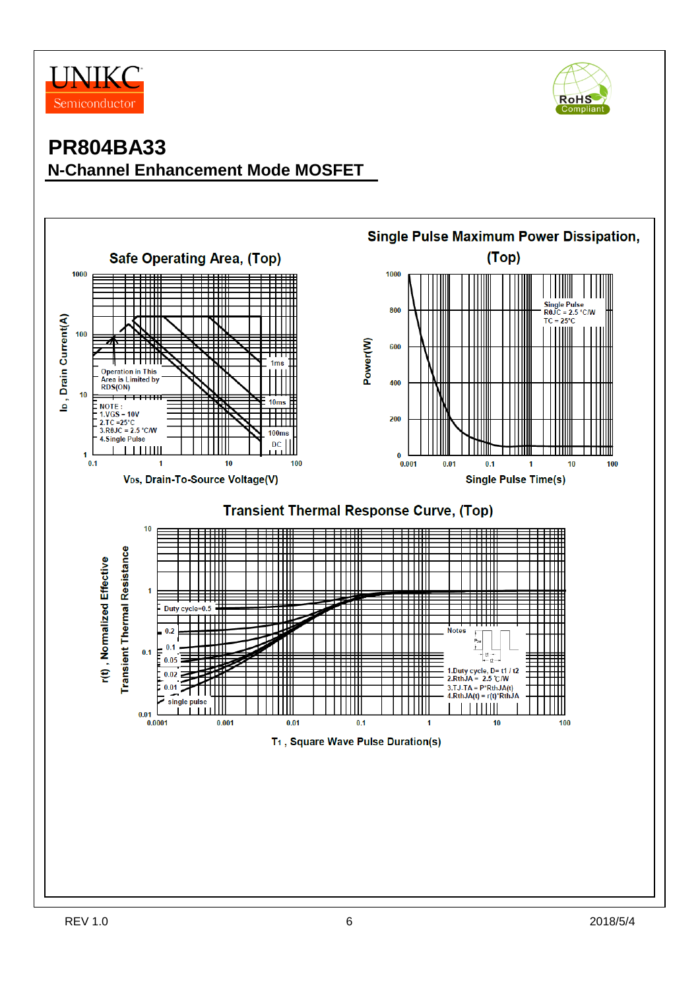



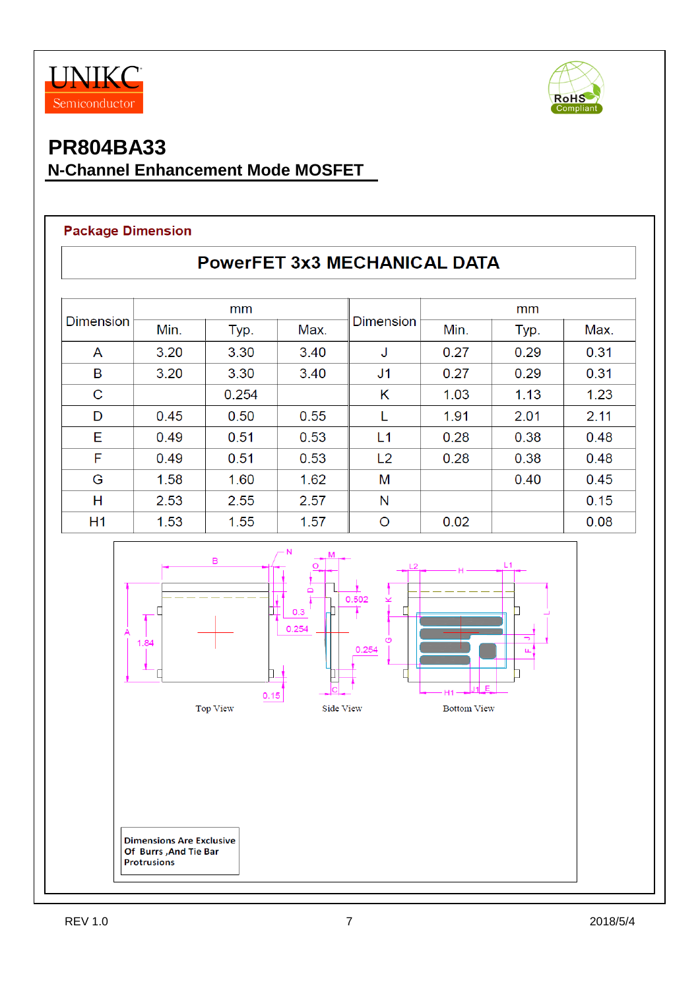



#### **Package Dimension**

| <b>Dimension</b> | mm   |       |      |                  | mm   |      |      |  |
|------------------|------|-------|------|------------------|------|------|------|--|
|                  | Min. | Typ.  | Max. | <b>Dimension</b> | Min. | Typ. | Max. |  |
| A                | 3.20 | 3.30  | 3.40 | J                | 0.27 | 0.29 | 0.31 |  |
| B                | 3.20 | 3.30  | 3.40 | J <sub>1</sub>   | 0.27 | 0.29 | 0.31 |  |
| $\mathsf C$      |      | 0.254 |      | Κ                | 1.03 | 1.13 | 1.23 |  |
| D                | 0.45 | 0.50  | 0.55 | L                | 1.91 | 2.01 | 2.11 |  |
| Е                | 0.49 | 0.51  | 0.53 | L1               | 0.28 | 0.38 | 0.48 |  |
| F                | 0.49 | 0.51  | 0.53 | L2               | 0.28 | 0.38 | 0.48 |  |
| G                | 1.58 | 1.60  | 1.62 | M                |      | 0.40 | 0.45 |  |
| Н                | 2.53 | 2.55  | 2.57 | N                |      |      | 0.15 |  |
| H1               | 1.53 | 1.55  | 1.57 | $\circ$          | 0.02 |      | 0.08 |  |

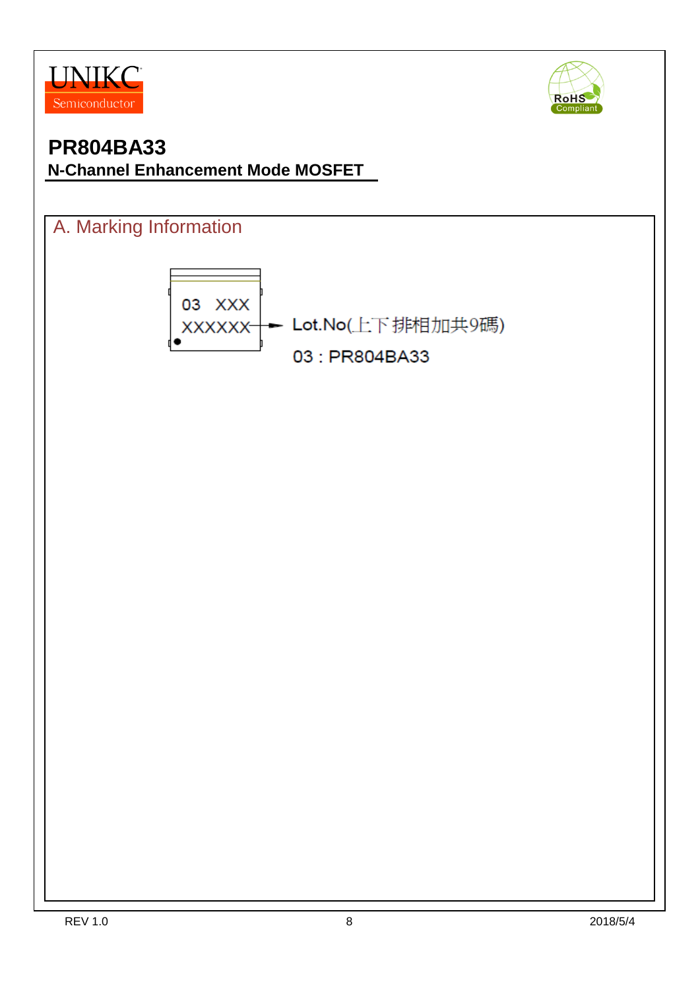



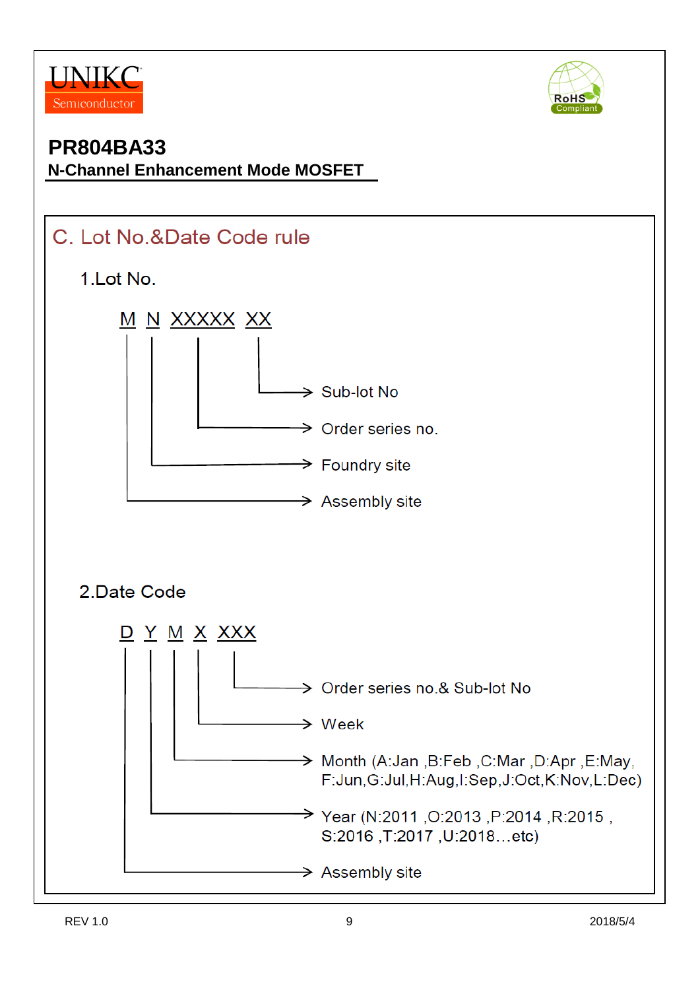